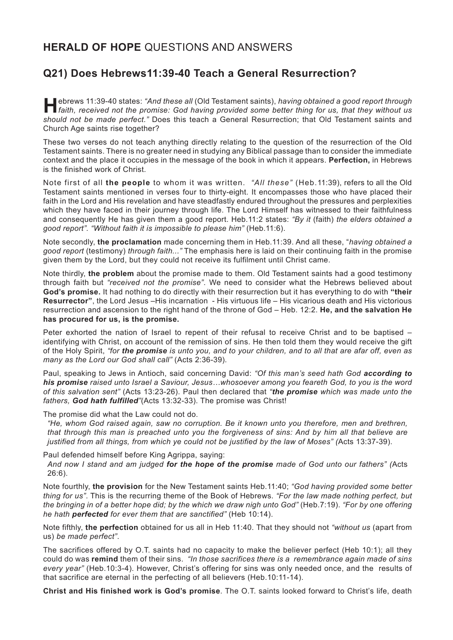## **HERALD OF HOPE** QUESTIONS AND ANSWERS

## **Q21) Does Hebrews11:39-40 Teach a General Resurrection?**

ebrews 11:39-40 states: "And these all (Old Testament saints), having obtained a good report through<br>
faith, received not the promise: God having provided some better thing for us, that they without us *should not be made perfect."* Does this teach a General Resurrection; that Old Testament saints and Church Age saints rise together?

These two verses do not teach anything directly relating to the question of the resurrection of the Old Testament saints. There is no greater need in studying any Biblical passage than to consider the immediate context and the place it occupies in the message of the book in which it appears. **Perfection,** in Hebrews is the finished work of Christ.

Note first of all **the people** to whom it was written. *"All these"* (Heb.11:39), refers to all the Old Testament saints mentioned in verses four to thirty-eight. It encompasses those who have placed their faith in the Lord and His revelation and have steadfastly endured throughout the pressures and perplexities which they have faced in their journey through life. The Lord Himself has witnessed to their faithfulness and consequently He has given them a good report. Heb.11:2 states: *"By it* (faith) *the elders obtained a good report". "Without faith it is impossible to please him"* (Heb.11:6).

Note secondly, **the proclamation** made concerning them in Heb.11:39. And all these, "*having obtained a good report* (testimony) *through faith..."* The emphasis here is laid on their continuing faith in the promise given them by the Lord, but they could not receive its fulfilment until Christ came.

Note thirdly, **the problem** about the promise made to them. Old Testament saints had a good testimony through faith but *"received not the promise"*. We need to consider what the Hebrews believed about **God's promise.** It had nothing to do directly with their resurrection but it has everything to do with **"their Resurrector"**, the Lord Jesus –His incarnation - His virtuous life – His vicarious death and His victorious resurrection and ascension to the right hand of the throne of God – Heb. 12:2. **He, and the salvation He has procured for us, is the promise.**

Peter exhorted the nation of Israel to repent of their refusal to receive Christ and to be baptised – identifying with Christ, on account of the remission of sins. He then told them they would receive the gift of the Holy Spirit, *"for the promise is unto you, and to your children, and to all that are afar off, even as many as the Lord our God shall call"* (Acts 2:36-39)*.*

Paul, speaking to Jews in Antioch, said concerning David: *"Of this man's seed hath God according to his promise raised unto Israel a Saviour, Jesus…whosoever among you feareth God, to you is the word of this salvation sent"* (Acts 13:23-26). Paul then declared that *"the promise which was made unto the fathers, God hath fulfilled"*(Acts 13:32-33). The promise was Christ!

The promise did what the Law could not do.

*"He, whom God raised again, saw no corruption. Be it known unto you therefore, men and brethren, that through this man is preached unto you the forgiveness of sins: And by him all that believe are justified from all things, from which ye could not be justified by the law of Moses" (*Acts 13:37-39).

Paul defended himself before King Agrippa, saying:

*And now I stand and am judged for the hope of the promise made of God unto our fathers" (*Acts 26:6).

Note fourthly, **the provision** for the New Testament saints Heb.11:40; *"God having provided some better thing for us"*. This is the recurring theme of the Book of Hebrews. *"For the law made nothing perfect, but the bringing in of a better hope did; by the which we draw nigh unto God"* (Heb.7:19). *"For by one offering he hath perfected for ever them that are sanctified"* (Heb 10:14).

Note fifthly, **the perfection** obtained for us all in Heb 11:40. That they should not *"without us* (apart from us) *be made perfect"*.

The sacrifices offered by O.T. saints had no capacity to make the believer perfect (Heb 10:1); all they could do was **remind** them of their sins. *"In those sacrifices there is a remembrance again made of sins every year"* (Heb.10:3-4). However, Christ's offering for sins was only needed once, and the results of that sacrifice are eternal in the perfecting of all believers (Heb.10:11-14).

**Christ and His finished work is God's promise**. The O.T. saints looked forward to Christ's life, death